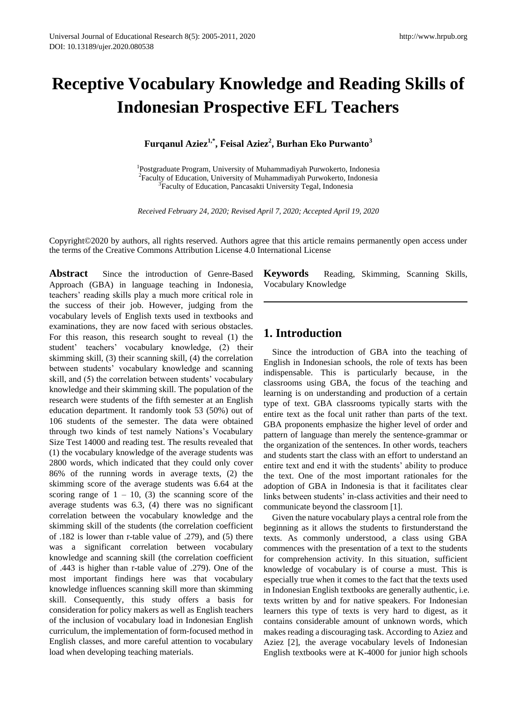# **Receptive Vocabulary Knowledge and Reading Skills of Indonesian Prospective EFL Teachers**

**Furqanul Aziez1,\* , Feisal Aziez<sup>2</sup> , Burhan Eko Purwanto<sup>3</sup>**

<sup>1</sup>Postgraduate Program, University of Muhammadiyah Purwokerto, Indonesia <sup>2</sup>Faculty of Education, University of Muhammadiyah Purwokerto, Indonesia <sup>3</sup> Faculty of Education, Pancasakti University Tegal, Indonesia

*Received February 24, 2020; Revised April 7, 2020; Accepted April 19, 2020*

Copyright©2020 by authors, all rights reserved. Authors agree that this article remains permanently open access under the terms of the Creative Commons Attribution License 4.0 International License

**Abstract** Since the introduction of Genre-Based Approach (GBA) in language teaching in Indonesia, teachers' reading skills play a much more critical role in the success of their job. However, judging from the vocabulary levels of English texts used in textbooks and examinations, they are now faced with serious obstacles. For this reason, this research sought to reveal (1) the student' teachers' vocabulary knowledge, (2) their skimming skill, (3) their scanning skill, (4) the correlation between students' vocabulary knowledge and scanning skill, and (5) the correlation between students' vocabulary knowledge and their skimming skill. The population of the research were students of the fifth semester at an English education department. It randomly took 53 (50%) out of 106 students of the semester. The data were obtained through two kinds of test namely Nations's Vocabulary Size Test 14000 and reading test. The results revealed that (1) the vocabulary knowledge of the average students was 2800 words, which indicated that they could only cover 86% of the running words in average texts, (2) the skimming score of the average students was 6.64 at the scoring range of  $1 - 10$ , (3) the scanning score of the average students was 6.3, (4) there was no significant correlation between the vocabulary knowledge and the skimming skill of the students (the correlation coefficient of .182 is lower than r-table value of .279), and (5) there was a significant correlation between vocabulary knowledge and scanning skill (the correlation coefficient of .443 is higher than r-table value of .279). One of the most important findings here was that vocabulary knowledge influences scanning skill more than skimming skill. Consequently, this study offers a basis for consideration for policy makers as well as English teachers of the inclusion of vocabulary load in Indonesian English curriculum, the implementation of form-focused method in English classes, and more careful attention to vocabulary load when developing teaching materials.

**Keywords** Reading, Skimming, Scanning Skills, Vocabulary Knowledge

## **1. Introduction**

Since the introduction of GBA into the teaching of English in Indonesian schools, the role of texts has been indispensable. This is particularly because, in the classrooms using GBA, the focus of the teaching and learning is on understanding and production of a certain type of text. GBA classrooms typically starts with the entire text as the focal unit rather than parts of the text. GBA proponents emphasize the higher level of order and pattern of language than merely the sentence-grammar or the organization of the sentences. In other words, teachers and students start the class with an effort to understand an entire text and end it with the students' ability to produce the text. One of the most important rationales for the adoption of GBA in Indonesia is that it facilitates clear links between students' in-class activities and their need to communicate beyond the classroom [1].

Given the nature vocabulary plays a central role from the beginning as it allows the students to firstunderstand the texts. As commonly understood, a class using GBA commences with the presentation of a text to the students for comprehension activity. In this situation, sufficient knowledge of vocabulary is of course a must. This is especially true when it comes to the fact that the texts used in Indonesian English textbooks are generally authentic, i.e. texts written by and for native speakers. For Indonesian learners this type of texts is very hard to digest, as it contains considerable amount of unknown words, which makes reading a discouraging task. According to Aziez and Aziez [2], the average vocabulary levels of Indonesian English textbooks were at K-4000 for junior high schools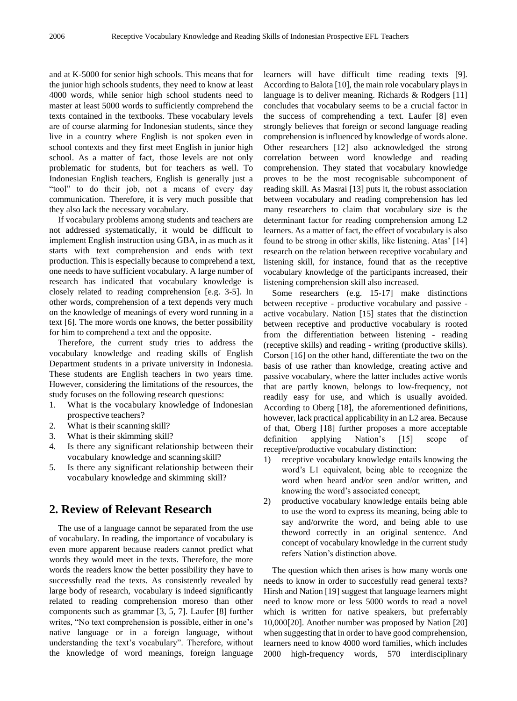and at K-5000 for senior high schools. This means that for the junior high schools students, they need to know at least 4000 words, while senior high school students need to master at least 5000 words to sufficiently comprehend the texts contained in the textbooks. These vocabulary levels are of course alarming for Indonesian students, since they live in a country where English is not spoken even in school contexts and they first meet English in junior high school. As a matter of fact, those levels are not only problematic for students, but for teachers as well. To Indonesian English teachers, English is generally just a "tool" to do their job, not a means of every day communication. Therefore, it is very much possible that they also lack the necessary vocabulary.

If vocabulary problems among students and teachers are not addressed systematically, it would be difficult to implement English instruction using GBA, in as much as it starts with text comprehension and ends with text production. This is especially because to comprehend a text, one needs to have sufficient vocabulary. A large number of research has indicated that vocabulary knowledge is closely related to reading comprehension [e.g. 3-5]. In other words, comprehension of a text depends very much on the knowledge of meanings of every word running in a text [6]. The more words one knows, the better possibility for him to comprehend a text and the opposite.

Therefore, the current study tries to address the vocabulary knowledge and reading skills of English Department students in a private university in Indonesia. These students are English teachers in two years time. However, considering the limitations of the resources, the study focuses on the following research questions:

- 1. What is the vocabulary knowledge of Indonesian prospective teachers?
- 2. What is their scanning skill?
- 3. What is their skimming skill?
- 4. Is there any significant relationship between their vocabulary knowledge and scanning skill?
- 5. Is there any significant relationship between their vocabulary knowledge and skimming skill?

## **2. Review of Relevant Research**

The use of a language cannot be separated from the use of vocabulary. In reading, the importance of vocabulary is even more apparent because readers cannot predict what words they would meet in the texts. Therefore, the more words the readers know the better possibility they have to successfully read the texts. As consistently revealed by large body of research, vocabulary is indeed significantly related to reading comprehension moreso than other components such as grammar [3, 5, 7]. Laufer [8] further writes, "No text comprehension is possible, either in one's native language or in a foreign language, without understanding the text's vocabulary". Therefore, without the knowledge of word meanings, foreign language

learners will have difficult time reading texts [9]. According to Balota [10], the main role vocabulary plays in language is to deliver meaning. Richards & Rodgers [11] concludes that vocabulary seems to be a crucial factor in the success of comprehending a text. Laufer [8] even strongly believes that foreign or second language reading comprehension is influenced by knowledge of words alone. Other researchers [12] also acknowledged the strong correlation between word knowledge and reading comprehension. They stated that vocabulary knowledge proves to be the most recognisable subcomponent of reading skill. As Masrai [13] puts it, the robust association between vocabulary and reading comprehension has led many researchers to claim that vocabulary size is the determinant factor for reading comprehension among L2 learners. As a matter of fact, the effect of vocabulary is also found to be strong in other skills, like listening. Atas' [14] research on the relation between receptive vocabulary and listening skill, for instance, found that as the receptive vocabulary knowledge of the participants increased, their listening comprehension skill also increased.

Some researchers (e.g. 15-17] make distinctions between receptive - productive vocabulary and passive active vocabulary. Nation [15] states that the distinction between receptive and productive vocabulary is rooted from the differentiation between listening - reading (receptive skills) and reading - writing (productive skills). Corson [16] on the other hand, differentiate the two on the basis of use rather than knowledge, creating active and passive vocabulary, where the latter includes active words that are partly known, belongs to low-frequency, not readily easy for use, and which is usually avoided. According to Oberg [18], the aforementioned definitions, however, lack practical applicability in an L2 area. Because of that, Oberg [18] further proposes a more acceptable  $definition$  applying Nation's  $[15]$  scope receptive/productive vocabulary distinction:

- 1) receptive vocabulary knowledge entails knowing the word's L1 equivalent, being able to recognize the word when heard and/or seen and/or written, and knowing the word's associated concept;
- 2) productive vocabulary knowledge entails being able to use the word to express its meaning, being able to say and/orwrite the word, and being able to use theword correctly in an original sentence. And concept of vocabulary knowledge in the current study refers Nation's distinction above.

The question which then arises is how many words one needs to know in order to succesfully read general texts? Hirsh and Nation [19] suggest that language learners might need to know more or less 5000 words to read a novel which is written for native speakers, but preferrably 10,000[20]. Another number was proposed by Nation [20] when suggesting that in order to have good comprehension, learners need to know 4000 word families, which includes 2000 high-frequency words, 570 interdisciplinary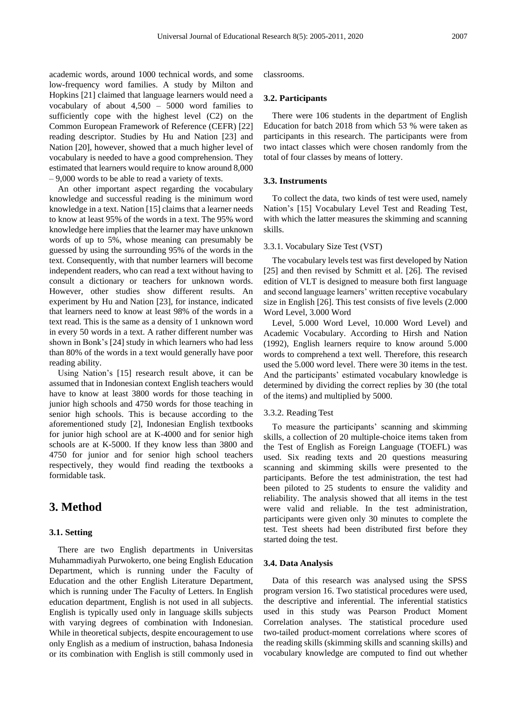academic words, around 1000 technical words, and some low-frequency word families. A study by Milton and Hopkins [21] claimed that language learners would need a vocabulary of about 4,500 – 5000 word families to sufficiently cope with the highest level (C2) on the Common European Framework of Reference (CEFR) [22] reading descriptor. Studies by Hu and Nation [23] and Nation [20], however, showed that a much higher level of vocabulary is needed to have a good comprehension. They estimated that learners would require to know around 8,000 – 9,000 words to be able to read a variety of texts.

An other important aspect regarding the vocabulary knowledge and successful reading is the minimum word knowledge in a text. Nation [15] claims that a learner needs to know at least 95% of the words in a text. The 95% word knowledge here implies that the learner may have unknown words of up to 5%, whose meaning can presumably be guessed by using the surrounding 95% of the words in the text. Consequently, with that number learners will become independent readers, who can read a text without having to consult a dictionary or teachers for unknown words. However, other studies show different results. An experiment by Hu and Nation [23], for instance, indicated that learners need to know at least 98% of the words in a text read. This is the same as a density of 1 unknown word in every 50 words in a text. A rather different number was shown in Bonk's [24] study in which learners who had less than 80% of the words in a text would generally have poor reading ability.

Using Nation's [15] research result above, it can be assumed that in Indonesian context English teachers would have to know at least 3800 words for those teaching in junior high schools and 4750 words for those teaching in senior high schools. This is because according to the aforementioned study [2], Indonesian English textbooks for junior high school are at K-4000 and for senior high schools are at K-5000. If they know less than 3800 and 4750 for junior and for senior high school teachers respectively, they would find reading the textbooks a formidable task.

## **3. Method**

#### **3.1. Setting**

There are two English departments in Universitas Muhammadiyah Purwokerto, one being English Education Department, which is running under the Faculty of Education and the other English Literature Department, which is running under The Faculty of Letters. In English education department, English is not used in all subjects. English is typically used only in language skills subjects with varying degrees of combination with Indonesian. While in theoretical subjects, despite encouragement to use only English as a medium of instruction, bahasa Indonesia or its combination with English is still commonly used in

classrooms.

#### **3.2. Participants**

There were 106 students in the department of English Education for batch 2018 from which 53 % were taken as participants in this research. The participants were from two intact classes which were chosen randomly from the total of four classes by means of lottery.

#### **3.3. Instruments**

To collect the data, two kinds of test were used, namely Nation's [15] Vocabulary Level Test and Reading Test, with which the latter measures the skimming and scanning skills.

#### 3.3.1. Vocabulary Size Test (VST)

The vocabulary levels test was first developed by Nation [25] and then revised by Schmitt et al. [26]. The revised edition of VLT is designed to measure both first language and second language learners' written receptive vocabulary size in English [26]. This test consists of five levels (2.000 Word Level, 3.000 Word

Level, 5.000 Word Level, 10.000 Word Level) and Academic Vocabulary. According to Hirsh and Nation (1992), English learners require to know around 5.000 words to comprehend a text well. Therefore, this research used the 5.000 word level. There were 30 items in the test. And the participants' estimated vocabulary knowledge is determined by dividing the correct replies by 30 (the total of the items) and multiplied by 5000.

#### 3.3.2. Reading Test

To measure the participants' scanning and skimming skills, a collection of 20 multiple-choice items taken from the Test of English as Foreign Language (TOEFL) was used. Six reading texts and 20 questions measuring scanning and skimming skills were presented to the participants. Before the test administration, the test had been piloted to 25 students to ensure the validity and reliability. The analysis showed that all items in the test were valid and reliable. In the test administration, participants were given only 30 minutes to complete the test. Test sheets had been distributed first before they started doing the test.

#### **3.4. Data Analysis**

Data of this research was analysed using the SPSS program version 16. Two statistical procedures were used, the descriptive and inferential. The inferential statistics used in this study was Pearson Product Moment Correlation analyses. The statistical procedure used two-tailed product-moment correlations where scores of the reading skills (skimming skills and scanning skills) and vocabulary knowledge are computed to find out whether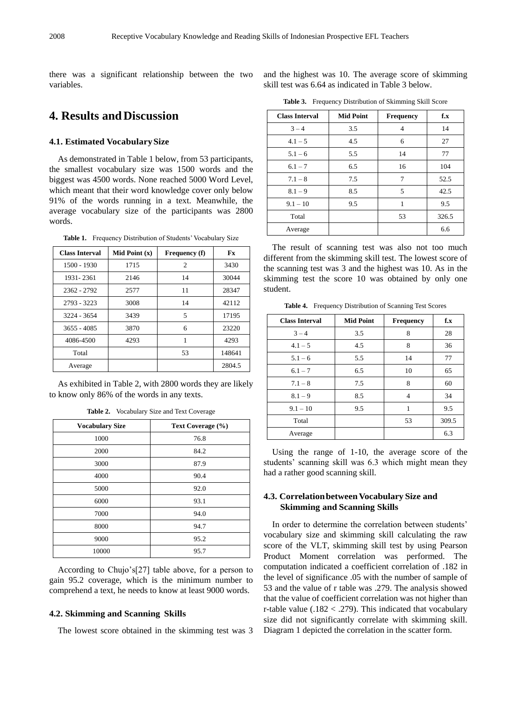there was a significant relationship between the two variables.

# **4. Results andDiscussion**

#### **4.1. Estimated VocabularySize**

As demonstrated in Table 1 below, from 53 participants, the smallest vocabulary size was 1500 words and the biggest was 4500 words. None reached 5000 Word Level, which meant that their word knowledge cover only below 91% of the words running in a text. Meanwhile, the average vocabulary size of the participants was 2800 words.

**Table 1.** Frequency Distribution of Students' Vocabulary Size

| <b>Class Interval</b> | Mid Point $(x)$ | Frequency (f) | Fx     |
|-----------------------|-----------------|---------------|--------|
| $1500 - 1930$         | 1715            | 2             | 3430   |
| 1931-2361             | 2146            | 14            | 30044  |
| 2362 - 2792           | 2577            | 11            | 28347  |
| 2793 - 3223           | 3008            | 14            | 42112  |
| 3224 - 3654           | 3439            | 5             | 17195  |
| $3655 - 4085$         | 3870            | 6             | 23220  |
| 4086-4500             | 4293            | 1             | 4293   |
| Total                 |                 | 53            | 148641 |
| Average               |                 |               | 2804.5 |

As exhibited in Table 2, with 2800 words they are likely to know only 86% of the words in any texts.

| <b>Vocabulary Size</b> | Text Coverage (%) |
|------------------------|-------------------|
| 1000                   | 76.8              |
| 2000                   | 84.2              |
| 3000                   | 87.9              |
| 4000                   | 90.4              |
| 5000                   | 92.0              |
| 6000                   | 93.1              |
| 7000                   | 94.0              |
| 8000                   | 94.7              |
| 9000                   | 95.2              |
| 10000                  | 95.7              |

**Table 2.** Vocabulary Size and Text Coverage

According to Chujo's[27] table above, for a person to gain 95.2 coverage, which is the minimum number to comprehend a text, he needs to know at least 9000 words.

#### **4.2. Skimming and Scanning Skills**

The lowest score obtained in the skimming test was 3

and the highest was 10. The average score of skimming skill test was 6.64 as indicated in Table 3 below.

**Table 3.** Frequency Distribution of Skimming Skill Score

| <b>Class Interval</b> | <b>Mid Point</b> | <b>Frequency</b> | f.x   |
|-----------------------|------------------|------------------|-------|
| $3 - 4$               | 3.5              | $\overline{4}$   | 14    |
| $4.1 - 5$             | 4.5              | 6                | 27    |
| $5.1 - 6$             | 5.5              | 14               | 77    |
| $6.1 - 7$             | 6.5              | 16               | 104   |
| $7.1 - 8$             | 7.5              | 7                | 52.5  |
| $8.1 - 9$             | 8.5              | 5                | 42.5  |
| $9.1 - 10$            | 9.5              | 1                | 9.5   |
| Total                 |                  | 53               | 326.5 |
| Average               |                  |                  | 6.6   |

The result of scanning test was also not too much different from the skimming skill test. The lowest score of the scanning test was 3 and the highest was 10. As in the skimming test the score 10 was obtained by only one student.

**Table 4.** Frequency Distribution of Scanning Test Scores

| <b>Class Interval</b> | <b>Mid Point</b> | <b>Frequency</b> | f.x   |
|-----------------------|------------------|------------------|-------|
| $3 - 4$               | 3.5              | 8                | 28    |
| $4.1 - 5$             | 4.5              | 8                | 36    |
| $5.1 - 6$             | 5.5              | 14               | 77    |
| $6.1 - 7$             | 6.5              | 10               | 65    |
| $7.1 - 8$             | 7.5              | 8                | 60    |
| $8.1 - 9$             | 8.5              | $\overline{4}$   | 34    |
| $9.1 - 10$            | 9.5              | 1                | 9.5   |
| Total                 |                  | 53               | 309.5 |
| Average               |                  |                  | 6.3   |

Using the range of 1-10, the average score of the students' scanning skill was 6.3 which might mean they had a rather good scanning skill.

#### **4.3. Correlationbetween Vocabulary Size and Skimming and Scanning Skills**

In order to determine the correlation between students' vocabulary size and skimming skill calculating the raw score of the VLT, skimming skill test by using Pearson Product Moment correlation was performed. The computation indicated a coefficient correlation of .182 in the level of significance .05 with the number of sample of 53 and the value of r table was .279. The analysis showed that the value of coefficient correlation was not higher than r-table value  $(.182 < .279)$ . This indicated that vocabulary size did not significantly correlate with skimming skill. Diagram 1 depicted the correlation in the scatter form.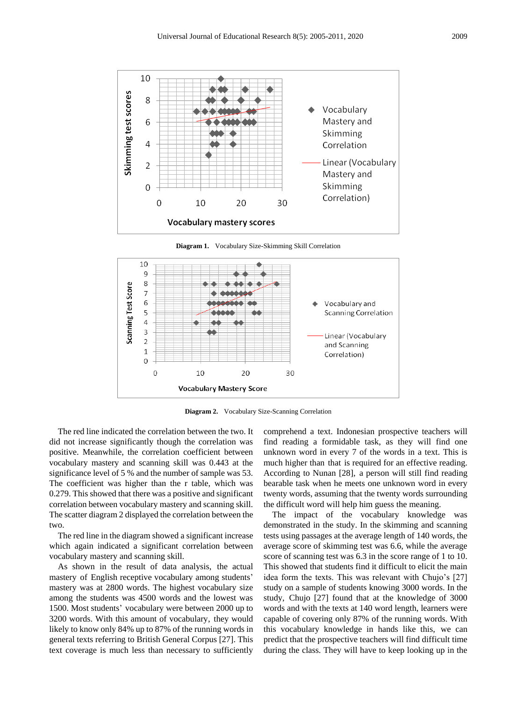

**Diagram 1.** Vocabulary Size-Skimming Skill Correlation



**Diagram 2.** Vocabulary Size-Scanning Correlation

The red line indicated the correlation between the two. It did not increase significantly though the correlation was positive. Meanwhile, the correlation coefficient between vocabulary mastery and scanning skill was 0.443 at the significance level of 5 % and the number of sample was 53. The coefficient was higher than the r table, which was 0.279. This showed that there was a positive and significant correlation between vocabulary mastery and scanning skill. The scatter diagram 2 displayed the correlation between the two.

The red line in the diagram showed a significant increase which again indicated a significant correlation between vocabulary mastery and scanning skill.

As shown in the result of data analysis, the actual mastery of English receptive vocabulary among students' mastery was at 2800 words. The highest vocabulary size among the students was 4500 words and the lowest was 1500. Most students' vocabulary were between 2000 up to 3200 words. With this amount of vocabulary, they would likely to know only 84% up to 87% of the running words in general texts referring to British General Corpus [27]. This text coverage is much less than necessary to sufficiently

comprehend a text. Indonesian prospective teachers will find reading a formidable task, as they will find one unknown word in every 7 of the words in a text. This is much higher than that is required for an effective reading. According to Nunan [28], a person will still find reading bearable task when he meets one unknown word in every twenty words, assuming that the twenty words surrounding the difficult word will help him guess the meaning.

The impact of the vocabulary knowledge was demonstrated in the study. In the skimming and scanning tests using passages at the average length of 140 words, the average score of skimming test was 6.6, while the average score of scanning test was 6.3 in the score range of 1 to 10. This showed that students find it difficult to elicit the main idea form the texts. This was relevant with Chujo's [27] study on a sample of students knowing 3000 words. In the study, Chujo [27] found that at the knowledge of 3000 words and with the texts at 140 word length, learners were capable of covering only 87% of the running words. With this vocabulary knowledge in hands like this, we can predict that the prospective teachers will find difficult time during the class. They will have to keep looking up in the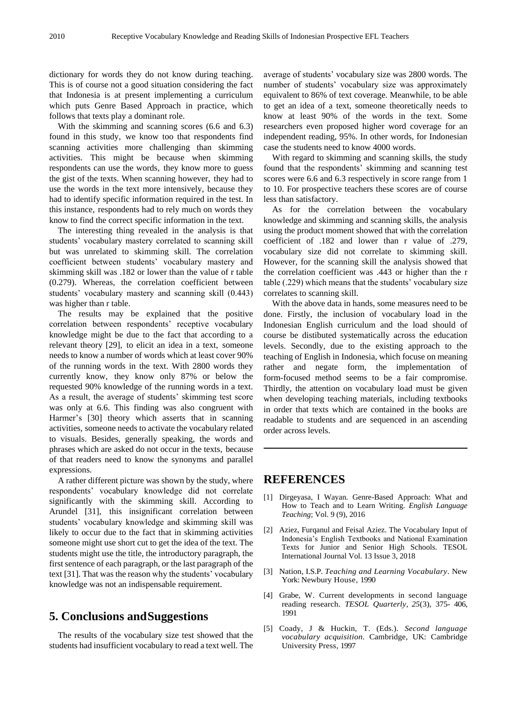dictionary for words they do not know during teaching. This is of course not a good situation considering the fact that Indonesia is at present implementing a curriculum which puts Genre Based Approach in practice, which follows that texts play a dominant role.

With the skimming and scanning scores (6.6 and 6.3) found in this study, we know too that respondents find scanning activities more challenging than skimming activities. This might be because when skimming respondents can use the words, they know more to guess the gist of the texts. When scanning however, they had to use the words in the text more intensively, because they had to identify specific information required in the test. In this instance, respondents had to rely much on words they know to find the correct specific information in the text.

The interesting thing revealed in the analysis is that students' vocabulary mastery correlated to scanning skill but was unrelated to skimming skill. The correlation coefficient between students' vocabulary mastery and skimming skill was .182 or lower than the value of r table (0.279). Whereas, the correlation coefficient between students' vocabulary mastery and scanning skill (0.443) was higher than r table.

The results may be explained that the positive correlation between respondents' receptive vocabulary knowledge might be due to the fact that according to a relevant theory [29], to elicit an idea in a text, someone needs to know a number of words which at least cover 90% of the running words in the text. With 2800 words they currently know, they know only 87% or below the requested 90% knowledge of the running words in a text. As a result, the average of students' skimming test score was only at 6.6. This finding was also congruent with Harmer's [30] theory which asserts that in scanning activities, someone needs to activate the vocabulary related to visuals. Besides, generally speaking, the words and phrases which are asked do not occur in the texts, because of that readers need to know the synonyms and parallel expressions.

A rather different picture was shown by the study, where respondents' vocabulary knowledge did not correlate significantly with the skimming skill. According to Arundel [31], this insignificant correlation between students' vocabulary knowledge and skimming skill was likely to occur due to the fact that in skimming activities someone might use short cut to get the idea of the text. The students might use the title, the introductory paragraph, the first sentence of each paragraph, or the last paragraph of the text [31]. That was the reason why the students' vocabulary knowledge was not an indispensable requirement.

## **5. Conclusions andSuggestions**

The results of the vocabulary size test showed that the students had insufficient vocabulary to read a text well. The average of students' vocabulary size was 2800 words. The number of students' vocabulary size was approximately equivalent to 86% of text coverage. Meanwhile, to be able to get an idea of a text, someone theoretically needs to know at least 90% of the words in the text. Some researchers even proposed higher word coverage for an independent reading, 95%. In other words, for Indonesian case the students need to know 4000 words.

With regard to skimming and scanning skills, the study found that the respondents' skimming and scanning test scores were 6.6 and 6.3 respectively in score range from 1 to 10. For prospective teachers these scores are of course less than satisfactory.

As for the correlation between the vocabulary knowledge and skimming and scanning skills, the analysis using the product moment showed that with the correlation coefficient of .182 and lower than r value of .279, vocabulary size did not correlate to skimming skill. However, for the scanning skill the analysis showed that the correlation coefficient was .443 or higher than the r table (.229) which means that the students' vocabulary size correlates to scanning skill.

With the above data in hands, some measures need to be done. Firstly, the inclusion of vocabulary load in the Indonesian English curriculum and the load should of course be distibuted systematically across the education levels. Secondly, due to the existing approach to the teaching of English in Indonesia, which focuse on meaning rather and negate form, the implementation of form-focused method seems to be a fair compromise. Thirdly, the attention on vocabulary load must be given when developing teaching materials, including textbooks in order that texts which are contained in the books are readable to students and are sequenced in an ascending order across levels.

### **REFERENCES**

- [1] Dirgeyasa, I Wayan. Genre-Based Approach: What and How to Teach and to Learn Writing. *English Language Teaching*; Vol. 9 (9), 2016
- [2] Aziez, Furqanul and Feisal Aziez. The Vocabulary Input of Indonesia's English Textbooks and National Examination Texts for Junior and Senior High Schools. TESOL International Journal Vol. 13 Issue 3, 2018
- [3] Nation, I.S.P. *Teaching and Learning Vocabulary*. New York: Newbury House, 1990
- [4] Grabe, W. Current developments in second language reading research. *TESOL Quarterly*, *25*(3), 375- 406, 1991
- [5] Coady, J & Huckin, T. (Eds.). *Second language vocabulary acquisition.* Cambridge, UK: Cambridge University Press, 1997